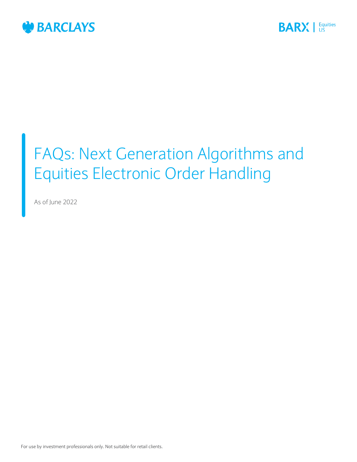



# FAQs: Next Generation Algorithms and Equities Electronic Order Handling

As of June 2022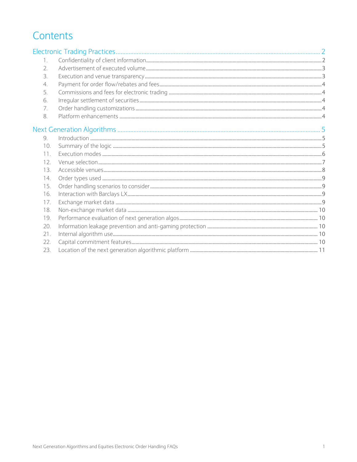# Contents

| $\mathbf{1}$     |  |
|------------------|--|
| 2.               |  |
| $\overline{3}$ . |  |
| 4.               |  |
| 5.               |  |
| 6.               |  |
| 7.               |  |
| 8.               |  |
|                  |  |
| 9                |  |
| 10.              |  |
| 11               |  |
| 12               |  |
| 13               |  |
| 14.              |  |
| 15.              |  |
| 16.              |  |
| 17.              |  |
| 18.              |  |
| 19.              |  |
| 20.              |  |
| 21               |  |
| 22.              |  |
| 23.              |  |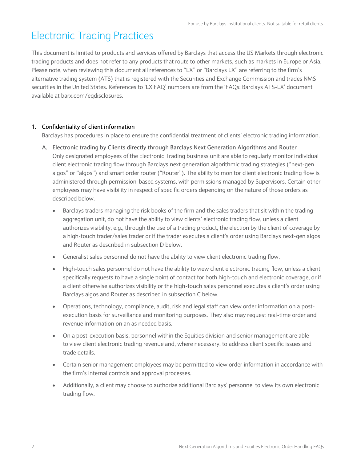# <span id="page-2-0"></span>Electronic Trading Practices

This document is limited to products and services offered by Barclays that access the US Markets through electronic trading products and does not refer to any products that route to other markets, such as markets in Europe or Asia. Please note, when reviewing this document all references to "LX" or "Barclays LX" are referring to the firm's alternative trading system (ATS) that is registered with the Securities and Exchange Commission and trades NMS securities in the United States. References to 'LX FAQ' numbers are from the 'FAQs: Barclays ATS-LX' document available at barx.com/eqdisclosures.

# <span id="page-2-1"></span>**1. Confidentiality of client information**

Barclays has procedures in place to ensure the confidential treatment of clients' electronic trading information.

- **A. Electronic trading by Clients directly through Barclays Next Generation Algorithms and Router** Only designated employees of the Electronic Trading business unit are able to regularly monitor individual client electronic trading flow through Barclays next generation algorithmic trading strategies ("next-gen algos" or "algos") and smart order router ("Router"). The ability to monitor client electronic trading flow is administered through permission-based systems, with permissions managed by Supervisors. Certain other employees may have visibility in respect of specific orders depending on the nature of those orders as described below.
	- Barclays traders managing the risk books of the firm and the sales traders that sit within the trading aggregation unit, do not have the ability to view clients' electronic trading flow, unless a client authorizes visibility, e.g., through the use of a trading product, the election by the client of coverage by a high-touch trader/sales trader or if the trader executes a client's order using Barclays next-gen algos and Router as described in subsection D below.
	- Generalist sales personnel do not have the ability to view client electronic trading flow.
	- High-touch sales personnel do not have the ability to view client electronic trading flow, unless a client specifically requests to have a single point of contact for both high-touch and electronic coverage, or if a client otherwise authorizes visibility or the high-touch sales personnel executes a client's order using Barclays algos and Router as described in subsection C below.
	- Operations, technology, compliance, audit, risk and legal staff can view order information on a postexecution basis for surveillance and monitoring purposes. They also may request real-time order and revenue information on an as needed basis.
	- On a post-execution basis, personnel within the Equities division and senior management are able to view client electronic trading revenue and, where necessary, to address client specific issues and trade details.
	- Certain senior management employees may be permitted to view order information in accordance with the firm's internal controls and approval processes.
	- Additionally, a client may choose to authorize additional Barclays' personnel to view its own electronic trading flow.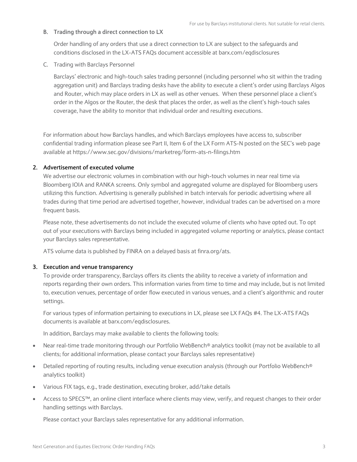# **B. Trading through a direct connection to LX**

Order handling of any orders that use a direct connection to LX are subject to the safeguards and conditions disclosed in the LX-ATS FAQs document accessible at barx.com/eqdisclosures

C. Trading with Barclays Personnel

Barclays' electronic and high-touch sales trading personnel (including personnel who sit within the trading aggregation unit) and Barclays trading desks have the ability to execute a client's order using Barclays Algos and Router, which may place orders in LX as well as other venues. When these personnel place a client's order in the Algos or the Router, the desk that places the order, as well as the client's high-touch sales coverage, have the ability to monitor that individual order and resulting executions.

For information about how Barclays handles, and which Barclays employees have access to, subscriber confidential trading information please see Part II, Item 6 of the LX Form ATS-N posted on the SEC's web page available at<https://www.sec.gov/divisions/marketreg/form-ats-n-filings.htm>

### <span id="page-3-0"></span>**2. Advertisement of executed volume**

We advertise our electronic volumes in combination with our high-touch volumes in near real time via Bloomberg IOIA and RANKA screens. Only symbol and aggregated volume are displayed for Bloomberg users utilizing this function. Advertising is generally published in batch intervals for periodic advertising where all trades during that time period are advertised together, however, individual trades can be advertised on a more frequent basis.

Please note, these advertisements do not include the executed volume of clients who have opted out. To opt out of your executions with Barclays being included in aggregated volume reporting or analytics, please contact your Barclays sales representative.

ATS volume data is published by FINRA on a delayed basis at finra.org/ats.

### <span id="page-3-1"></span>**3. Execution and venue transparency**

To provide order transparency, Barclays offers its clients the ability to receive a variety of information and reports regarding their own orders. This information varies from time to time and may include, but is not limited to, execution venues, percentage of order flow executed in various venues, and a client's algorithmic and router settings.

For various types of information pertaining to executions in LX, please see LX FAQs #4. The LX-ATS FAQs documents is available at barx.com/eqdisclosures.

In addition, Barclays may make available to clients the following tools:

- Near real-time trade monitoring through our Portfolio WebBench<sup>®</sup> analytics toolkit (may not be available to all clients; for additional information, please contact your Barclays sales representative)
- Detailed reporting of routing results, including venue execution analysis (through our Portfolio WebBench<sup>®</sup> analytics toolkit)
- Various FIX tags, e.g., trade destination, executing broker, add/take details
- Access to SPECS™, an online client interface where clients may view, verify, and request changes to their order handling settings with Barclays.

Please contact your Barclays sales representative for any additional information.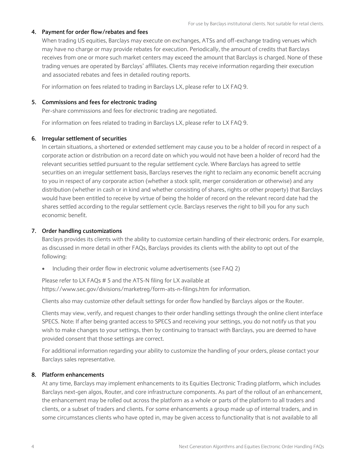# <span id="page-4-0"></span>**4. Payment for order flow/rebates and fees**

When trading US equities, Barclays may execute on exchanges, ATSs and off-exchange trading venues which may have no charge or may provide rebates for execution. Periodically, the amount of credits that Barclays receives from one or more such market centers may exceed the amount that Barclays is charged. None of these trading venues are operated by Barclays' affiliates. Clients may receive information regarding their execution and associated rebates and fees in detailed routing reports.

For information on fees related to trading in Barclays LX, please refer to LX FAQ 9.

## <span id="page-4-1"></span>**5. Commissions and fees for electronic trading**

Per-share commissions and fees for electronic trading are negotiated.

For information on fees related to trading in Barclays LX, please refer to LX FAQ 9.

# <span id="page-4-2"></span>**6. Irregular settlement of securities**

In certain situations, a shortened or extended settlement may cause you to be a holder of record in respect of a corporate action or distribution on a record date on which you would not have been a holder of record had the relevant securities settled pursuant to the regular settlement cycle. Where Barclays has agreed to settle securities on an irregular settlement basis, Barclays reserves the right to reclaim any economic benefit accruing to you in respect of any corporate action (whether a stock split, merger consideration or otherwise) and any distribution (whether in cash or in kind and whether consisting of shares, rights or other property) that Barclays would have been entitled to receive by virtue of being the holder of record on the relevant record date had the shares settled according to the regular settlement cycle. Barclays reserves the right to bill you for any such economic benefit.

# <span id="page-4-3"></span>**7. Order handling customizations**

Barclays provides its clients with the ability to customize certain handling of their electronic orders. For example, as discussed in more detail in other FAQs, Barclays provides its clients with the ability to opt out of the following:

• Including their order flow in electronic volume advertisements (see FA[Q 2\)](#page-3-0)

Please refer to LX FAQs # 5 and the ATS-N filing for LX available at https://www.sec.gov/divisions/marketreg/form-ats-n-filings.htm for information.

Clients also may customize other default settings for order flow handled by Barclays algos or the Router.

Clients may view, verify, and request changes to their order handling settings through the online client interface SPECS. Note: If after being granted access to SPECS and receiving your settings, you do not notify us that you wish to make changes to your settings, then by continuing to transact with Barclays, you are deemed to have provided consent that those settings are correct.

For additional information regarding your ability to customize the handling of your orders, please contact your Barclays sales representative.

### <span id="page-4-4"></span>**8. Platform enhancements**

At any time, Barclays may implement enhancements to its Equities Electronic Trading platform, which includes Barclays next-gen algos, Router, and core infrastructure components. As part of the rollout of an enhancement, the enhancement may be rolled out across the platform as a whole or parts of the platform to all traders and clients, or a subset of traders and clients. For some enhancements a group made up of internal traders, and in some circumstances clients who have opted in, may be given access to functionality that is not available to all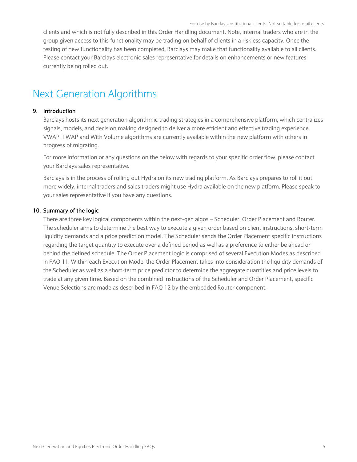clients and which is not fully described in this Order Handling document. Note, internal traders who are in the group given access to this functionality may be trading on behalf of clients in a riskless capacity. Once the testing of new functionality has been completed, Barclays may make that functionality available to all clients. Please contact your Barclays electronic sales representative for details on enhancements or new features currently being rolled out.

# <span id="page-5-0"></span>Next Generation Algorithms

#### <span id="page-5-1"></span>**9. Introduction**

Barclays hosts its next generation algorithmic trading strategies in a comprehensive platform, which centralizes signals, models, and decision making designed to deliver a more efficient and effective trading experience. VWAP, TWAP and With Volume algorithms are currently available within the new platform with others in progress of migrating.

For more information or any questions on the below with regards to your specific order flow, please contact your Barclays sales representative.

Barclays is in the process of rolling out Hydra on its new trading platform. As Barclays prepares to roll it out more widely, internal traders and sales traders might use Hydra available on the new platform. Please speak to your sales representative if you have any questions.

#### <span id="page-5-2"></span>**10. Summary of the logic**

There are three key logical components within the next-gen algos – Scheduler, Order Placement and Router. The scheduler aims to determine the best way to execute a given order based on client instructions, short-term liquidity demands and a price prediction model. The Scheduler sends the Order Placement specific instructions regarding the target quantity to execute over a defined period as well as a preference to either be ahead or behind the defined schedule. The Order Placement logic is comprised of several Execution Modes as described in FAQ 11. Within each Execution Mode, the Order Placement takes into consideration the liquidity demands of the Scheduler as well as a short-term price predictor to determine the aggregate quantities and price levels to trade at any given time. Based on the combined instructions of the Scheduler and Order Placement, specific Venue Selections are made as described in FAQ 12 by the embedded Router component.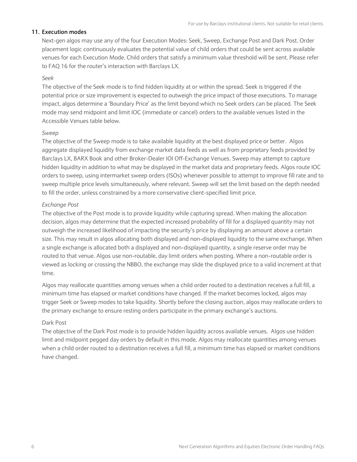#### <span id="page-6-0"></span>**11. Execution modes**

Next-gen algos may use any of the four Execution Modes: Seek, Sweep, Exchange Post and Dark Post. Order placement logic continuously evaluates the potential value of child orders that could be sent across available venues for each Execution Mode. Child orders that satisfy a minimum value threshold will be sent. Please refer to FAQ 16 for the router's interaction with Barclays LX.

#### *Seek*

The objective of the Seek mode is to find hidden liquidity at or within the spread. Seek is triggered if the potential price or size improvement is expected to outweigh the price impact of those executions. To manage impact, algos determine a 'Boundary Price' as the limit beyond which no Seek orders can be placed. The Seek mode may send midpoint and limit IOC (immediate or cancel) orders to the available venues listed in the Accessible Venues table below.

## *Sweep*

The objective of the Sweep mode is to take available liquidity at the best displayed price or better. Algos aggregate displayed liquidity from exchange market data feeds as well as from proprietary feeds provided by Barclays LX, BARX Book and other Broker-Dealer IOI Off-Exchange Venues. Sweep may attempt to capture hidden liquidity in addition to what may be displayed in the market data and proprietary feeds. Algos route IOC orders to sweep, using intermarket sweep orders (ISOs) whenever possible to attempt to improve fill rate and to sweep multiple price levels simultaneously, where relevant. Sweep will set the limit based on the depth needed to fill the order, unless constrained by a more conservative client-specified limit price.

#### *Exchange Post*

The objective of the Post mode is to provide liquidity while capturing spread. When making the allocation decision, algos may determine that the expected increased probability of fill for a displayed quantity may not outweigh the increased likelihood of impacting the security's price by displaying an amount above a certain size. This may result in algos allocating both displayed and non-displayed liquidity to the same exchange. When a single exchange is allocated both a displayed and non-displayed quantity, a single reserve order may be routed to that venue. Algos use non-routable, day limit orders when posting. Where a non-routable order is viewed as locking or crossing the NBBO, the exchange may slide the displayed price to a valid increment at that time.

Algos may reallocate quantities among venues when a child order routed to a destination receives a full fill, a minimum time has elapsed or market conditions have changed. If the market becomes locked, algos may trigger Seek or Sweep modes to take liquidity. Shortly before the closing auction, algos may reallocate orders to the primary exchange to ensure resting orders participate in the primary exchange's auctions.

#### Dark Post

The objective of the Dark Post mode is to provide hidden liquidity across available venues. Algos use hidden limit and midpoint pegged day orders by default in this mode. Algos may reallocate quantities among venues when a child order routed to a destination receives a full fill, a minimum time has elapsed or market conditions have changed.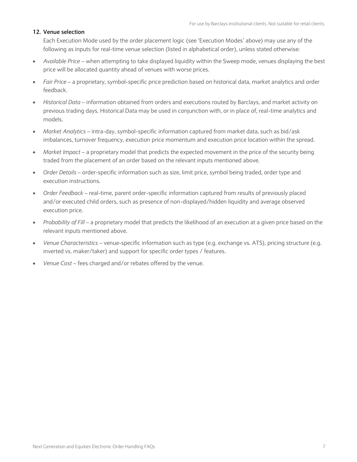# <span id="page-7-0"></span>**12. Venue selection**

Each Execution Mode used by the order placement logic (see 'Execution Modes' above) may use any of the following as inputs for real-time venue selection (listed in alphabetical order), unless stated otherwise:

- *Available Price* when attempting to take displayed liquidity within the Sweep mode, venues displaying the best price will be allocated quantity ahead of venues with worse prices.
- *Fair Price* a proprietary, symbol-specific price prediction based on historical data, market analytics and order feedback.
- *Historical Data* information obtained from orders and executions routed by Barclays, and market activity on previous trading days. Historical Data may be used in conjunction with, or in place of, real-time analytics and models.
- *Market Analytics* intra-day, symbol-specific information captured from market data, such as bid/ask imbalances, turnover frequency, execution price momentum and execution price location within the spread.
- *Market Impact –* a proprietary model that predicts the expected movement in the price of the security being traded from the placement of an order based on the relevant inputs mentioned above.
- *Order Details*  order-specific information such as size, limit price, symbol being traded, order type and execution instructions.
- *Order Feedback* real-time, parent order-specific information captured from results of previously placed and/or executed child orders, such as presence of non-displayed/hidden liquidity and average observed execution price.
- *Probability of Fill –* a proprietary model that predicts the likelihood of an execution at a given price based on the relevant inputs mentioned above.
- *Venue Characteristics –* venue-specific information such as type (e.g. exchange vs. ATS), pricing structure (e.g. inverted vs. maker/taker) and support for specific order types / features.
- *Venue Cost* fees charged and/or rebates offered by the venue.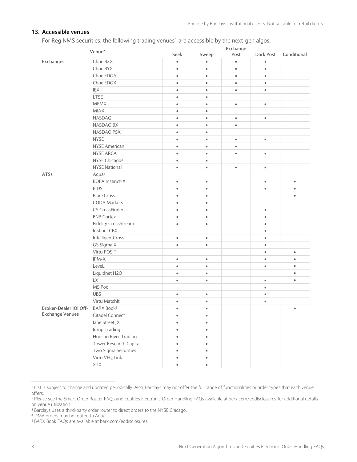# <span id="page-8-0"></span>**13. Accessible venues**

For Reg NMS securities, the following trading venues<sup>1</sup> are accessible by the next-gen algos.

|                        | Venue <sup>2</sup>          | Exchange  |           |           |           |             |  |
|------------------------|-----------------------------|-----------|-----------|-----------|-----------|-------------|--|
|                        |                             | Seek      | Sweep     | Post      | Dark Post | Conditional |  |
| Exchanges              | Cboe BZX                    | $\bullet$ | $\bullet$ | $\bullet$ | $\bullet$ |             |  |
|                        | Cboe BYX                    | $\bullet$ | $\bullet$ | $\bullet$ | $\bullet$ |             |  |
|                        | Cboe EDGA                   | $\bullet$ | $\bullet$ | $\bullet$ | $\bullet$ |             |  |
|                        | Cboe EDGX                   | $\bullet$ | $\bullet$ | $\bullet$ | $\bullet$ |             |  |
|                        | IEX                         | $\bullet$ | $\bullet$ | $\bullet$ | $\bullet$ |             |  |
|                        | <b>LTSE</b>                 | $\bullet$ | $\bullet$ |           |           |             |  |
|                        | <b>MEMX</b>                 | $\bullet$ | $\bullet$ | $\bullet$ | $\bullet$ |             |  |
|                        | <b>MIAX</b>                 | $\bullet$ | $\bullet$ |           |           |             |  |
|                        | <b>NASDAQ</b>               | $\bullet$ | $\bullet$ | $\bullet$ | $\bullet$ |             |  |
|                        | NASDAQ BX                   | $\bullet$ | $\bullet$ | $\bullet$ |           |             |  |
|                        | NASDAQ PSX                  | $\bullet$ | $\bullet$ |           |           |             |  |
|                        | <b>NYSE</b>                 | $\bullet$ | $\bullet$ | $\bullet$ | $\bullet$ |             |  |
|                        | <b>NYSE American</b>        | $\bullet$ | $\bullet$ | $\bullet$ |           |             |  |
|                        | NYSE ARCA                   | $\bullet$ | $\bullet$ | $\bullet$ | $\bullet$ |             |  |
|                        | NYSE Chicago <sup>3</sup>   | $\bullet$ | $\bullet$ |           |           |             |  |
|                        | <b>NYSE National</b>        | $\bullet$ | $\bullet$ | $\bullet$ | $\bullet$ |             |  |
| ATSs                   | Aqua <sup>4</sup>           |           |           |           |           |             |  |
|                        | <b>BOFA Instinct-X</b>      | $\bullet$ | $\bullet$ |           | $\bullet$ | $\bullet$   |  |
|                        | <b>BIDS</b>                 | $\bullet$ | $\bullet$ |           | $\bullet$ | ٠           |  |
|                        | <b>BlockCross</b>           | $\bullet$ | $\bullet$ |           |           | $\bullet$   |  |
|                        | <b>CODA Markets</b>         | $\bullet$ | $\bullet$ |           |           |             |  |
|                        | CS CrossFinder              | $\bullet$ | $\bullet$ |           | $\bullet$ |             |  |
|                        | <b>BNP Cortex</b>           | $\bullet$ | $\bullet$ |           | $\bullet$ |             |  |
|                        | <b>Fidelity CrossStream</b> | $\bullet$ | $\bullet$ |           | $\bullet$ |             |  |
|                        | <b>Instinet CBX</b>         |           |           |           | $\bullet$ |             |  |
|                        | IntelligentCross            | $\bullet$ | $\bullet$ |           | $\bullet$ |             |  |
|                        | GS Sigma X                  | $\bullet$ | $\bullet$ |           | $\bullet$ |             |  |
|                        | Virtu POSIT                 |           |           |           | $\bullet$ | $\bullet$   |  |
|                        | JPM-X                       | $\bullet$ | $\bullet$ |           | $\bullet$ | $\bullet$   |  |
|                        | LeveL                       | $\bullet$ | $\bullet$ |           | $\bullet$ | $\bullet$   |  |
|                        | Liquidnet H2O               | $\bullet$ | $\bullet$ |           |           | ٠           |  |
|                        | LX                          | $\bullet$ | $\bullet$ |           | $\bullet$ | $\bullet$   |  |
|                        | MS Pool                     |           |           |           | $\bullet$ |             |  |
|                        | <b>UBS</b>                  | $\bullet$ | $\bullet$ |           | $\bullet$ |             |  |
|                        | Virtu Matchlt               | $\bullet$ | $\bullet$ |           | $\bullet$ |             |  |
| Broker-Dealer IOI Off- | BARX Book <sup>5</sup>      |           |           |           |           |             |  |
| <b>Exchange Venues</b> | Citadel Connect             | $\bullet$ | $\bullet$ |           |           |             |  |
|                        | Jane Street JX              | $\bullet$ | $\bullet$ |           |           |             |  |
|                        | Jump Trading                | $\bullet$ | $\bullet$ |           |           |             |  |
|                        | Hudson River Trading        | $\bullet$ | $\bullet$ |           |           |             |  |
|                        | Tower Research Capital      | $\bullet$ | $\bullet$ |           |           |             |  |
|                        | Two Sigma Securities        | $\bullet$ | $\bullet$ |           |           |             |  |
|                        | Virtu VEQ Link              | $\bullet$ | $\bullet$ |           |           |             |  |
|                        | XTX                         | $\bullet$ | $\bullet$ |           |           |             |  |
|                        |                             |           |           |           |           |             |  |

<sup>1</sup> List is subject to change and updated periodically. Also, Barclays may not offer the full range of functionalities or order types that each venue offers.

 $\overline{a}$ 

<sup>2</sup> Please see the Smart Order Router FAQs and Equities Electronic Order Handling FAQs available at barx.com/eqdisclosures for additional details on venue utilization.

<sup>&</sup>lt;sup>3</sup> Barclays uses a third-party order router to direct orders to the NYSE Chicago.

<sup>4</sup> DMA orders may be routed to Aqua.

<sup>5</sup> BARX Book FAQs are available at barx.com/eqdisclosures.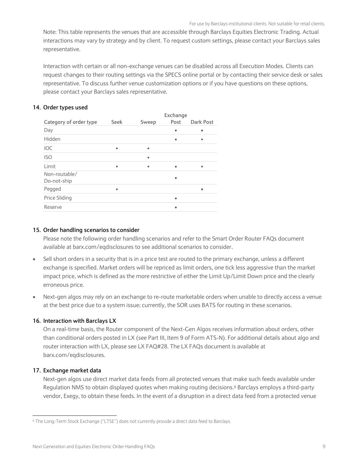Note: This table represents the venues that are accessible through Barclays Equities Electronic Trading. Actual interactions may vary by strategy and by client. To request custom settings, please contact your Barclays sales representative.

Interaction with certain or all non-exchange venues can be disabled across all Execution Modes. Clients can request changes to their routing settings via the SPECS online portal or by contacting their service desk or sales representative. To discuss further venue customization options or if you have questions on these options, please contact your Barclays sales representative.

# <span id="page-9-0"></span>**14. Order types used**

|                              |             |       | Exchange |                  |
|------------------------------|-------------|-------|----------|------------------|
| Category of order type       | <b>Seek</b> | Sweep | Post     | <b>Dark Post</b> |
| Day                          |             |       |          |                  |
| Hidden                       |             |       | ٠        | ٠                |
| <b>IOC</b>                   | $\bullet$   | ٠     |          |                  |
| <b>ISO</b>                   |             | ٠     |          |                  |
| Limit                        | $\bullet$   | ٠     |          |                  |
| Non-routable/<br>Do-not-ship |             |       | ٠        |                  |
| Pegged                       | $\bullet$   |       |          |                  |
| Price Sliding                |             |       | ٠        |                  |
| Reserve                      |             |       |          |                  |

### <span id="page-9-1"></span>**15. Order handling scenarios to consider**

Please note the following order handling scenarios and refer to the Smart Order Router FAQs document available at barx.com/eqdisclosures to see additional scenarios to consider.

- Sell short orders in a security that is in a price test are routed to the primary exchange, unless a different exchange is specified. Market orders will be repriced as limit orders, one tick less aggressive than the market impact price, which is defined as the more restrictive of either the Limit Up/Limit Down price and the clearly erroneous price.
- Next-gen algos may rely on an exchange to re-route marketable orders when unable to directly access a venue at the best price due to a system issue; currently, the SOR uses BATS for routing in these scenarios.

# <span id="page-9-2"></span>**16. Interaction with Barclays LX**

On a real-time basis, the Router component of the Next-Gen Algos receives information about orders, other than conditional orders posted in LX (see Part III, Item 9 of Form ATS-N). For additional details about algo and router interaction with LX, please see LX FAQ#28. The LX FAQs document is available at barx.com/eqdisclosures.

### <span id="page-9-3"></span>**17. Exchange market data**

j

Next-gen algos use direct market data feeds from all protected venues that make such feeds available under Regulation NMS to obtain displayed quotes when making routing decisions.<sup>6</sup> Barclays employs a third-party vendor, Exegy, to obtain these feeds. In the event of a disruption in a direct data feed from a protected venue

<sup>6</sup> The Long-Term Stock Exchange ("LTSE") does not currently provide a direct data feed to Barclays.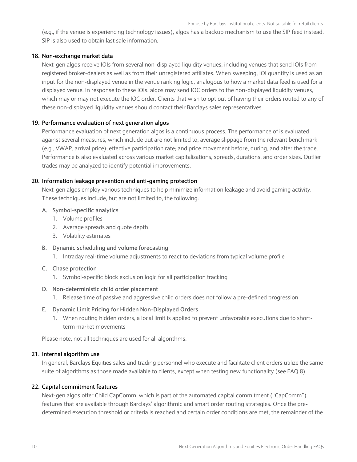(e.g., if the venue is experiencing technology issues), algos has a backup mechanism to use the SIP feed instead. SIP is also used to obtain last sale information.

#### <span id="page-10-0"></span>**18. Non-exchange market data**

Next-gen algos receive IOIs from several non-displayed liquidity venues, including venues that send IOIs from registered broker-dealers as well as from their unregistered affiliates. When sweeping, IOI quantity is used as an input for the non-displayed venue in the venue ranking logic, analogous to how a market data feed is used for a displayed venue. In response to these IOIs, algos may send IOC orders to the non-displayed liquidity venues, which may or may not execute the IOC order. Clients that wish to opt out of having their orders routed to any of these non-displayed liquidity venues should contact their Barclays sales representatives.

#### <span id="page-10-1"></span>**19. Performance evaluation of next generation algos**

Performance evaluation of next generation algos is a continuous process. The performance of is evaluated against several measures, which include but are not limited to, average slippage from the relevant benchmark (e.g., VWAP, arrival price); effective participation rate; and price movement before, during, and after the trade. Performance is also evaluated across various market capitalizations, spreads, durations, and order sizes. Outlier trades may be analyzed to identify potential improvements.

#### <span id="page-10-2"></span>**20. Information leakage prevention and anti-gaming protection**

Next-gen algos employ various techniques to help minimize information leakage and avoid gaming activity. These techniques include, but are not limited to, the following:

#### **A. Symbol-specific analytics**

- 1. Volume profiles
- 2. Average spreads and quote depth
- 3. Volatility estimates
- **B. Dynamic scheduling and volume forecasting**
	- 1. Intraday real-time volume adjustments to react to deviations from typical volume profile

#### **C. Chase protection**

1. Symbol-specific block exclusion logic for all participation tracking

#### **D. Non-deterministic child order placement**

1. Release time of passive and aggressive child orders does not follow a pre-defined progression

### **E. Dynamic Limit Pricing for Hidden Non-Displayed Orders**

1. When routing hidden orders, a local limit is applied to prevent unfavorable executions due to shortterm market movements

Please note, not all techniques are used for all algorithms.

#### <span id="page-10-3"></span>**21. Internal algorithm use**

In general, Barclays Equities sales and trading personnel who execute and facilitate client orders utilize the same suite of algorithms as those made available to clients, except when testing new functionality (see FAQ 8).

#### <span id="page-10-4"></span>**22. Capital commitment features**

Next-gen algos offer Child CapComm, which is part of the automated capital commitment ("CapComm") features that are available through Barclays' algorithmic and smart order routing strategies. Once the predetermined execution threshold or criteria is reached and certain order conditions are met, the remainder of the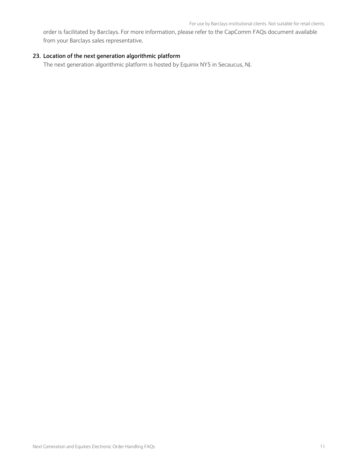order is facilitated by Barclays. For more information, please refer to the CapComm FAQs document available from your Barclays sales representative.

# <span id="page-11-0"></span>**23. Location of the next generation algorithmic platform**

The next generation algorithmic platform is hosted by Equinix NY5 in Secaucus, NJ.